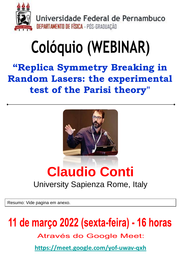

Universidade Federal de Pernambuco **DEPARTAMENTO DE FÍSICA - PÓS-GRADUAÇÃO** 

# Colóquio (WEBINAR)

**"Replica Symmetry Breaking in Random Lasers: the experimental test of the Parisi theory"**



## **Claudio Conti**

#### University Sapienza Rome, Italy

Resumo: Vide pagina em anexo.

### 11 de março 2022 (sexta-feira) - 16 horas

**Através do Google Meet:** 

**<https://meet.google.com/yof-uwav-qxh>**